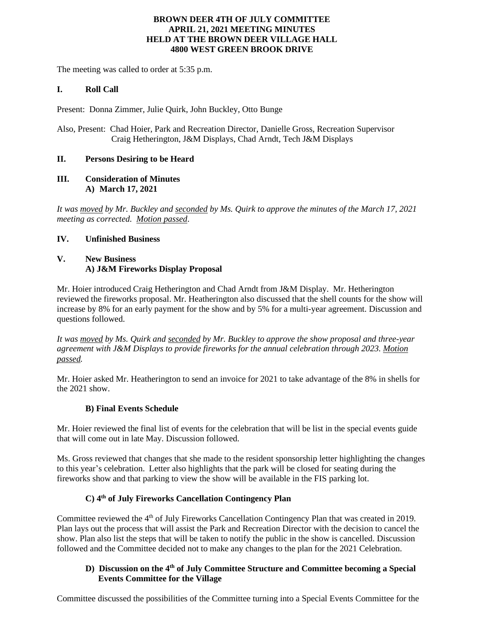## **BROWN DEER 4TH OF JULY COMMITTEE APRIL 21, 2021 MEETING MINUTES HELD AT THE BROWN DEER VILLAGE HALL 4800 WEST GREEN BROOK DRIVE**

The meeting was called to order at 5:35 p.m.

# **I. Roll Call**

Present: Donna Zimmer, Julie Quirk, John Buckley, Otto Bunge

Also, Present: Chad Hoier, Park and Recreation Director, Danielle Gross, Recreation Supervisor Craig Hetherington, J&M Displays, Chad Arndt, Tech J&M Displays

# **II. Persons Desiring to be Heard**

### **III. Consideration of Minutes A) March 17, 2021**

*It was moved by Mr. Buckley and seconded by Ms. Quirk to approve the minutes of the March 17, 2021 meeting as corrected. Motion passed*.

# **IV. Unfinished Business**

# **V. New Business A) J&M Fireworks Display Proposal**

Mr. Hoier introduced Craig Hetherington and Chad Arndt from J&M Display. Mr. Hetherington reviewed the fireworks proposal. Mr. Heatherington also discussed that the shell counts for the show will increase by 8% for an early payment for the show and by 5% for a multi-year agreement. Discussion and questions followed.

*It was moved by Ms. Quirk and seconded by Mr. Buckley to approve the show proposal and three-year agreement with J&M Displays to provide fireworks for the annual celebration through 2023. Motion passed.*

Mr. Hoier asked Mr. Heatherington to send an invoice for 2021 to take advantage of the 8% in shells for the 2021 show.

# **B) Final Events Schedule**

Mr. Hoier reviewed the final list of events for the celebration that will be list in the special events guide that will come out in late May. Discussion followed.

Ms. Gross reviewed that changes that she made to the resident sponsorship letter highlighting the changes to this year's celebration. Letter also highlights that the park will be closed for seating during the fireworks show and that parking to view the show will be available in the FIS parking lot.

# **C) 4 th of July Fireworks Cancellation Contingency Plan**

Committee reviewed the 4<sup>th</sup> of July Fireworks Cancellation Contingency Plan that was created in 2019. Plan lays out the process that will assist the Park and Recreation Director with the decision to cancel the show. Plan also list the steps that will be taken to notify the public in the show is cancelled. Discussion followed and the Committee decided not to make any changes to the plan for the 2021 Celebration.

## **D) Discussion on the 4th of July Committee Structure and Committee becoming a Special Events Committee for the Village**

Committee discussed the possibilities of the Committee turning into a Special Events Committee for the